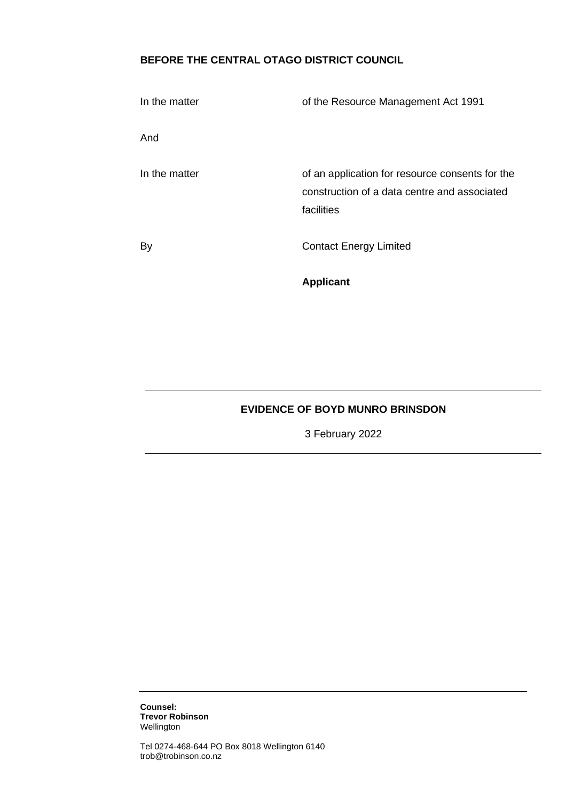# **BEFORE THE CENTRAL OTAGO DISTRICT COUNCIL**

| In the matter | of the Resource Management Act 1991                                                                           |
|---------------|---------------------------------------------------------------------------------------------------------------|
| And           |                                                                                                               |
| In the matter | of an application for resource consents for the<br>construction of a data centre and associated<br>facilities |
| By            | <b>Contact Energy Limited</b>                                                                                 |
|               | <b>Applicant</b>                                                                                              |

## **EVIDENCE OF BOYD MUNRO BRINSDON**

3 February 2022

**Counsel: Trevor Robinson** Wellington

Tel 0274-468-644 PO Box 8018 Wellington 6140 trob@trobinson.co.nz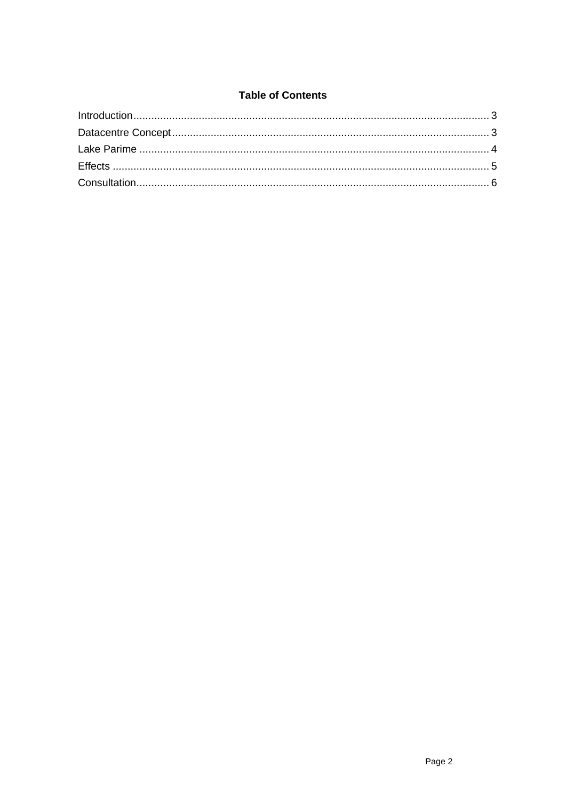### **Table of Contents**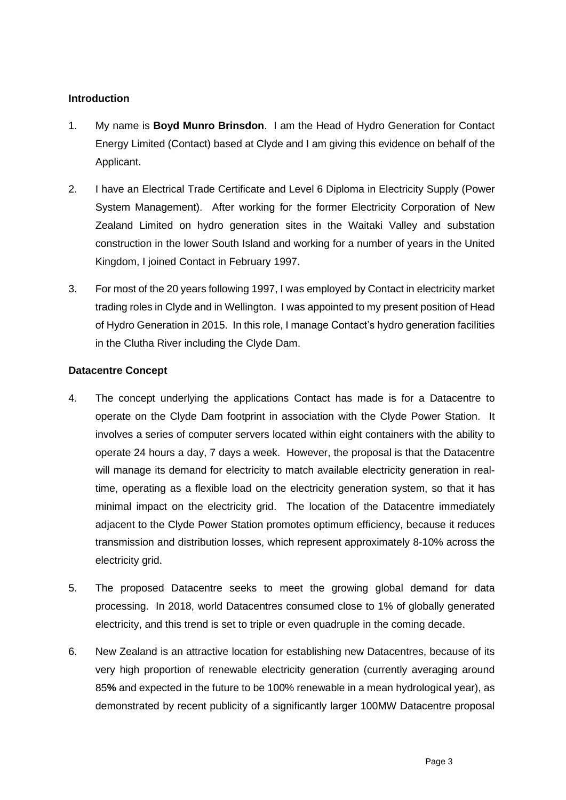## <span id="page-2-0"></span>**Introduction**

- 1. My name is **Boyd Munro Brinsdon**. I am the Head of Hydro Generation for Contact Energy Limited (Contact) based at Clyde and I am giving this evidence on behalf of the Applicant.
- 2. I have an Electrical Trade Certificate and Level 6 Diploma in Electricity Supply (Power System Management). After working for the former Electricity Corporation of New Zealand Limited on hydro generation sites in the Waitaki Valley and substation construction in the lower South Island and working for a number of years in the United Kingdom, I joined Contact in February 1997.
- 3. For most of the 20 years following 1997, I was employed by Contact in electricity market trading roles in Clyde and in Wellington. I was appointed to my present position of Head of Hydro Generation in 2015. In this role, I manage Contact's hydro generation facilities in the Clutha River including the Clyde Dam.

#### <span id="page-2-1"></span>**Datacentre Concept**

- 4. The concept underlying the applications Contact has made is for a Datacentre to operate on the Clyde Dam footprint in association with the Clyde Power Station. It involves a series of computer servers located within eight containers with the ability to operate 24 hours a day, 7 days a week. However, the proposal is that the Datacentre will manage its demand for electricity to match available electricity generation in realtime, operating as a flexible load on the electricity generation system, so that it has minimal impact on the electricity grid. The location of the Datacentre immediately adjacent to the Clyde Power Station promotes optimum efficiency, because it reduces transmission and distribution losses, which represent approximately 8-10% across the electricity grid.
- 5. The proposed Datacentre seeks to meet the growing global demand for data processing. In 2018, world Datacentres consumed close to 1% of globally generated electricity, and this trend is set to triple or even quadruple in the coming decade.
- 6. New Zealand is an attractive location for establishing new Datacentres, because of its very high proportion of renewable electricity generation (currently averaging around 85**%** and expected in the future to be 100% renewable in a mean hydrological year), as demonstrated by recent publicity of a significantly larger 100MW Datacentre proposal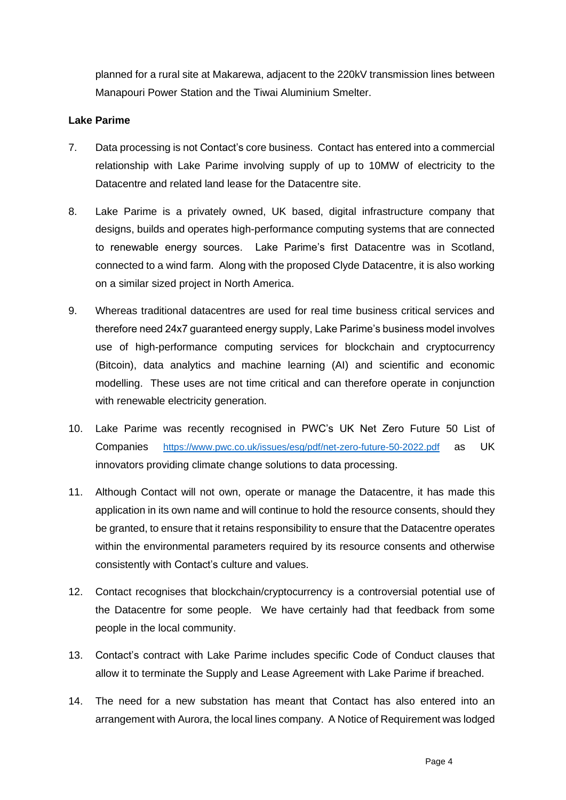planned for a rural site at Makarewa, adjacent to the 220kV transmission lines between Manapouri Power Station and the Tiwai Aluminium Smelter.

#### <span id="page-3-0"></span>**Lake Parime**

- 7. Data processing is not Contact's core business. Contact has entered into a commercial relationship with Lake Parime involving supply of up to 10MW of electricity to the Datacentre and related land lease for the Datacentre site.
- 8. Lake Parime is a privately owned, UK based, digital infrastructure company that designs, builds and operates high-performance computing systems that are connected to renewable energy sources. Lake Parime's first Datacentre was in Scotland, connected to a wind farm. Along with the proposed Clyde Datacentre, it is also working on a similar sized project in North America.
- 9. Whereas traditional datacentres are used for real time business critical services and therefore need 24x7 guaranteed energy supply, Lake Parime's business model involves use of high-performance computing services for blockchain and cryptocurrency (Bitcoin), data analytics and machine learning (AI) and scientific and economic modelling. These uses are not time critical and can therefore operate in conjunction with renewable electricity generation.
- 10. Lake Parime was recently recognised in PWC's UK Net Zero Future 50 List of Companies <https://www.pwc.co.uk/issues/esg/pdf/net-zero-future-50-2022.pdf> as UK innovators providing climate change solutions to data processing.
- 11. Although Contact will not own, operate or manage the Datacentre, it has made this application in its own name and will continue to hold the resource consents, should they be granted, to ensure that it retains responsibility to ensure that the Datacentre operates within the environmental parameters required by its resource consents and otherwise consistently with Contact's culture and values.
- 12. Contact recognises that blockchain/cryptocurrency is a controversial potential use of the Datacentre for some people. We have certainly had that feedback from some people in the local community.
- 13. Contact's contract with Lake Parime includes specific Code of Conduct clauses that allow it to terminate the Supply and Lease Agreement with Lake Parime if breached.
- 14. The need for a new substation has meant that Contact has also entered into an arrangement with Aurora, the local lines company. A Notice of Requirement was lodged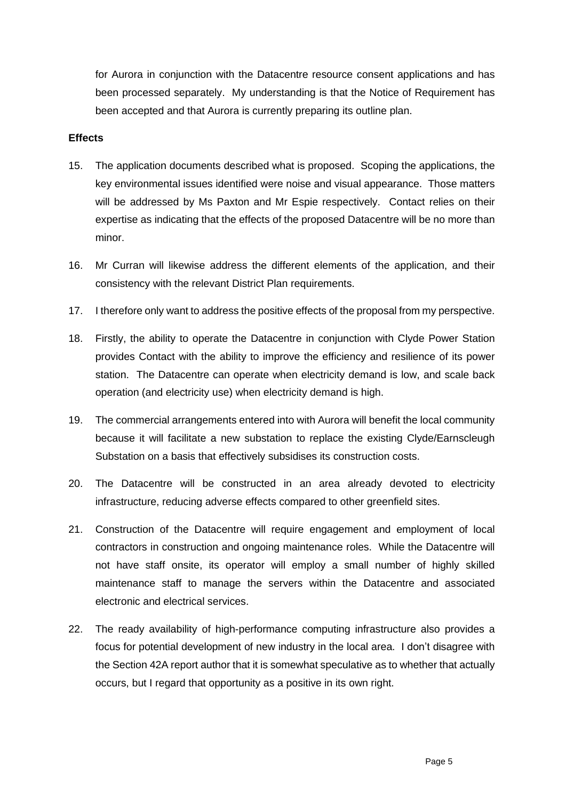for Aurora in conjunction with the Datacentre resource consent applications and has been processed separately. My understanding is that the Notice of Requirement has been accepted and that Aurora is currently preparing its outline plan.

#### <span id="page-4-0"></span>**Effects**

- 15. The application documents described what is proposed. Scoping the applications, the key environmental issues identified were noise and visual appearance. Those matters will be addressed by Ms Paxton and Mr Espie respectively. Contact relies on their expertise as indicating that the effects of the proposed Datacentre will be no more than minor.
- 16. Mr Curran will likewise address the different elements of the application, and their consistency with the relevant District Plan requirements.
- 17. I therefore only want to address the positive effects of the proposal from my perspective.
- 18. Firstly, the ability to operate the Datacentre in conjunction with Clyde Power Station provides Contact with the ability to improve the efficiency and resilience of its power station. The Datacentre can operate when electricity demand is low, and scale back operation (and electricity use) when electricity demand is high.
- 19. The commercial arrangements entered into with Aurora will benefit the local community because it will facilitate a new substation to replace the existing Clyde/Earnscleugh Substation on a basis that effectively subsidises its construction costs.
- 20. The Datacentre will be constructed in an area already devoted to electricity infrastructure, reducing adverse effects compared to other greenfield sites.
- 21. Construction of the Datacentre will require engagement and employment of local contractors in construction and ongoing maintenance roles. While the Datacentre will not have staff onsite, its operator will employ a small number of highly skilled maintenance staff to manage the servers within the Datacentre and associated electronic and electrical services.
- 22. The ready availability of high-performance computing infrastructure also provides a focus for potential development of new industry in the local area. I don't disagree with the Section 42A report author that it is somewhat speculative as to whether that actually occurs, but I regard that opportunity as a positive in its own right.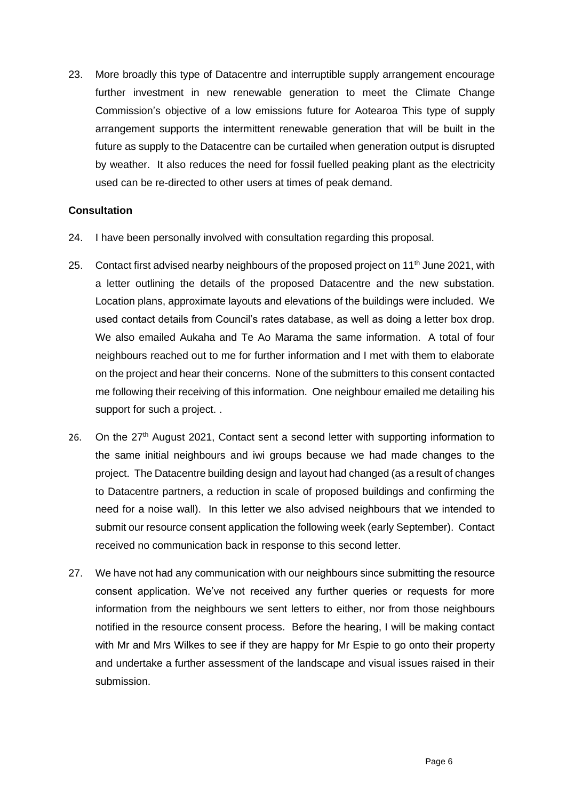23. More broadly this type of Datacentre and interruptible supply arrangement encourage further investment in new renewable generation to meet the Climate Change Commission's objective of a low emissions future for Aotearoa This type of supply arrangement supports the intermittent renewable generation that will be built in the future as supply to the Datacentre can be curtailed when generation output is disrupted by weather. It also reduces the need for fossil fuelled peaking plant as the electricity used can be re-directed to other users at times of peak demand.

#### <span id="page-5-0"></span>**Consultation**

- 24. I have been personally involved with consultation regarding this proposal.
- 25. Contact first advised nearby neighbours of the proposed project on 11<sup>th</sup> June 2021, with a letter outlining the details of the proposed Datacentre and the new substation. Location plans, approximate layouts and elevations of the buildings were included. We used contact details from Council's rates database, as well as doing a letter box drop. We also emailed Aukaha and Te Ao Marama the same information. A total of four neighbours reached out to me for further information and I met with them to elaborate on the project and hear their concerns. None of the submitters to this consent contacted me following their receiving of this information. One neighbour emailed me detailing his support for such a project. .
- 26. On the 27<sup>th</sup> August 2021, Contact sent a second letter with supporting information to the same initial neighbours and iwi groups because we had made changes to the project. The Datacentre building design and layout had changed (as a result of changes to Datacentre partners, a reduction in scale of proposed buildings and confirming the need for a noise wall). In this letter we also advised neighbours that we intended to submit our resource consent application the following week (early September). Contact received no communication back in response to this second letter.
- 27. We have not had any communication with our neighbours since submitting the resource consent application. We've not received any further queries or requests for more information from the neighbours we sent letters to either, nor from those neighbours notified in the resource consent process. Before the hearing, I will be making contact with Mr and Mrs Wilkes to see if they are happy for Mr Espie to go onto their property and undertake a further assessment of the landscape and visual issues raised in their submission.